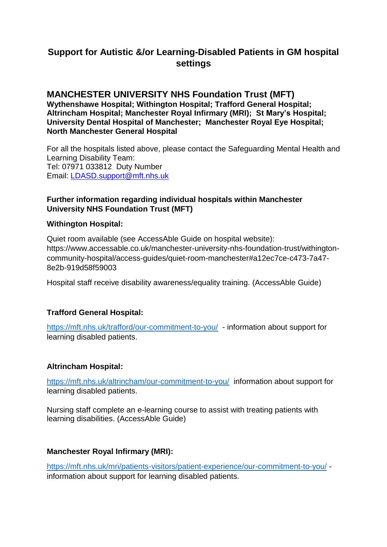# **Support for Autistic &/or Learning-Disabled Patients in GM hospital settings**

#### **MANCHESTER UNIVERSITY NHS Foundation Trust (MFT) Wythenshawe Hospital; Withington Hospital; Trafford General Hospital; Altrincham Hospital; Manchester Royal Infirmary (MRI); St Mary's Hospital; University Dental Hospital of Manchester; Manchester Royal Eye Hospital; North Manchester General Hospital**

For all the hospitals listed above, please contact the Safeguarding Mental Health and Learning Disability Team: Tel: 07971 033812 Duty Number Email: [LDASD.support@mft.nhs.uk](mailto:LDASD.support@mft.nhs.uk)

### **Further information regarding individual hospitals within Manchester University NHS Foundation Trust (MFT)**

#### **Withington Hospital:**

Quiet room available (see AccessAble Guide on hospital website): https://www.accessable.co.uk/manchester-university-nhs-foundation-trust/withingtoncommunity-hospital/access-guides/quiet-room-manchester#a12ec7ce-c473-7a47- 8e2b-919d58f59003

Hospital staff receive disability awareness/equality training. (AccessAble Guide)

# **Trafford General Hospital:**

<https://mft.nhs.uk/trafford/our-commitment-to-you/>- information about support for learning disabled patients.

# **Altrincham Hospital:**

<https://mft.nhs.uk/altrincham/our-commitment-to-you/> information about support for learning disabled patients.

Nursing staff complete an e-learning course to assist with treating patients with learning disabilities. (AccessAble Guide)

# **Manchester Royal Infirmary (MRI):**

<https://mft.nhs.uk/mri/patients-visitors/patient-experience/our-commitment-to-you/> information about support for learning disabled patients.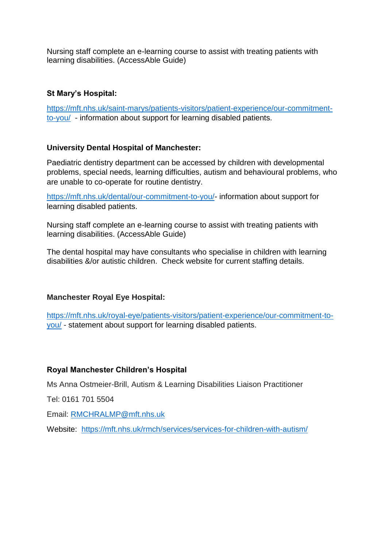Nursing staff complete an e-learning course to assist with treating patients with learning disabilities. (AccessAble Guide)

# **St Mary's Hospital:**

[https://mft.nhs.uk/saint-marys/patients-visitors/patient-experience/our-commitment](https://mft.nhs.uk/saint-marys/patients-visitors/patient-experience/our-commitment-to-you/)[to-you/](https://mft.nhs.uk/saint-marys/patients-visitors/patient-experience/our-commitment-to-you/) - information about support for learning disabled patients.

# **University Dental Hospital of Manchester:**

Paediatric dentistry department can be accessed by children with developmental problems, special needs, learning difficulties, autism and behavioural problems, who are unable to co-operate for routine dentistry.

[https://mft.nhs.uk/dental/our-commitment-to-you/-](https://mft.nhs.uk/dental/our-commitment-to-you/) information about support for learning disabled patients.

Nursing staff complete an e-learning course to assist with treating patients with learning disabilities. (AccessAble Guide)

The dental hospital may have consultants who specialise in children with learning disabilities &/or autistic children. Check website for current staffing details.

# **Manchester Royal Eye Hospital:**

[https://mft.nhs.uk/royal-eye/patients-visitors/patient-experience/our-commitment-to](https://mft.nhs.uk/royal-eye/patients-visitors/patient-experience/our-commitment-to-you/)[you/](https://mft.nhs.uk/royal-eye/patients-visitors/patient-experience/our-commitment-to-you/) - statement about support for learning disabled patients.

# **Royal Manchester Children's Hospital**

Ms Anna Ostmeier-Brill, Autism & Learning Disabilities Liaison Practitioner

Tel: 0161 701 5504

Email: [RMCHRALMP@mft.nhs.uk](mailto:RMCHRALMP@mft.nhs.uk)

Website: <https://mft.nhs.uk/rmch/services/services-for-children-with-autism/>